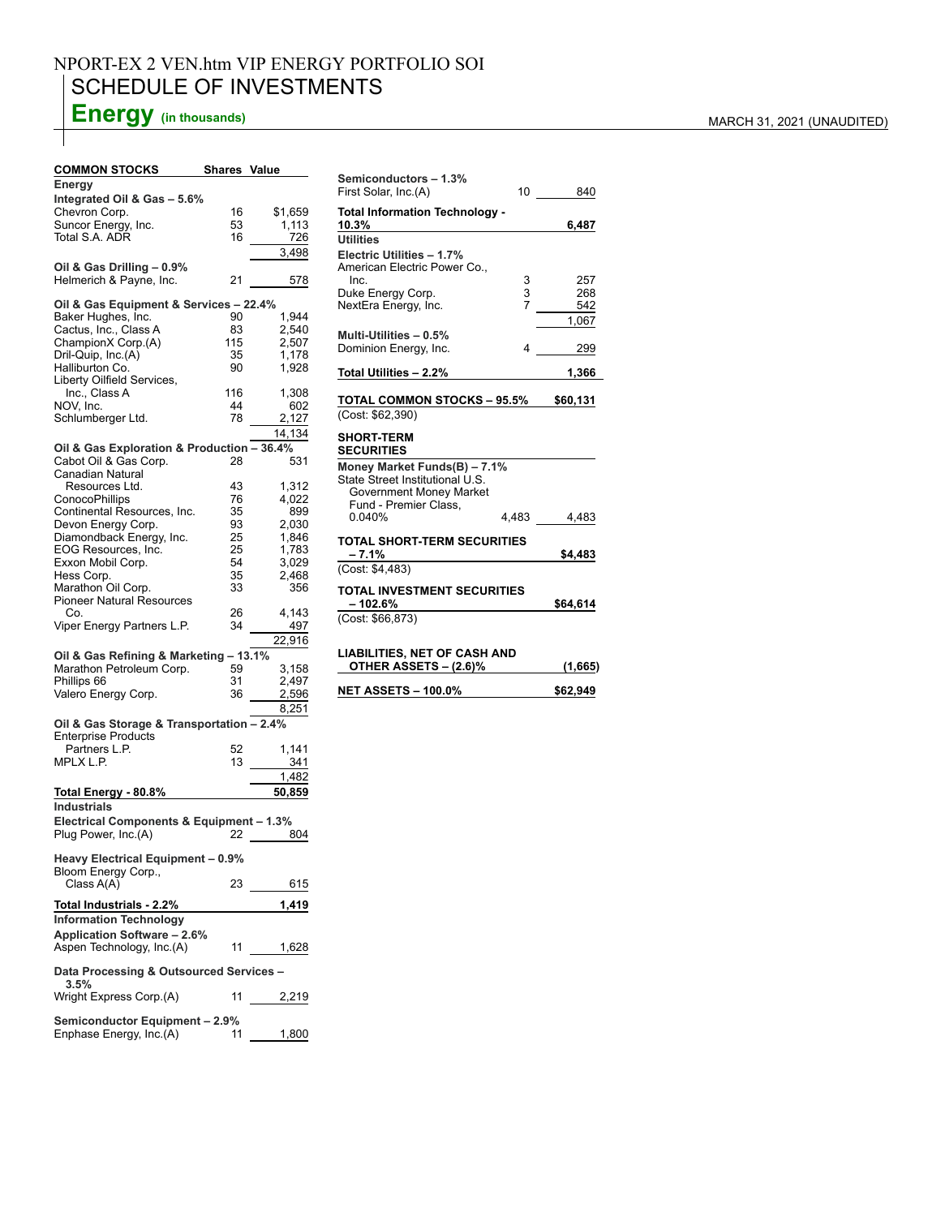## NPORT-EX 2 VEN.htm VIP ENERGY PORTFOLIO SOI SCHEDULE OF INVESTMENTS

# **Energy** (in thousands) MARCH 31, 2021 (UNAUDITED)

### **COMMON STOCKS Shares Value**

| Energy                                                    |     |         |  |  |  |  |  |
|-----------------------------------------------------------|-----|---------|--|--|--|--|--|
| Integrated Oil & Gas - 5.6%                               |     |         |  |  |  |  |  |
| Chevron Corp.                                             | 16  | \$1,659 |  |  |  |  |  |
| Suncor Energy, Inc.                                       | 53  | 1,113   |  |  |  |  |  |
| Total S.A. ADR                                            | 16  | 726     |  |  |  |  |  |
|                                                           |     |         |  |  |  |  |  |
|                                                           |     | 3.498   |  |  |  |  |  |
| Oil & Gas Drilling - 0.9%                                 |     |         |  |  |  |  |  |
| Helmerich & Payne, Inc.                                   | 21  | 578     |  |  |  |  |  |
|                                                           |     |         |  |  |  |  |  |
| Oil & Gas Equipment & Services - 22.4%                    |     |         |  |  |  |  |  |
|                                                           |     |         |  |  |  |  |  |
| Baker Hughes, Inc.                                        | 90  | 1,944   |  |  |  |  |  |
| Cactus, Inc., Class A                                     | 83  | 2,540   |  |  |  |  |  |
| ChampionX Corp.(A)                                        | 115 | 2,507   |  |  |  |  |  |
| Dril-Quip, Inc.(A)                                        | 35  | 1,178   |  |  |  |  |  |
| Halliburton Co.                                           | 90  | 1,928   |  |  |  |  |  |
| Liberty Oilfield Services,                                |     |         |  |  |  |  |  |
|                                                           |     |         |  |  |  |  |  |
| Inc., Class A                                             | 116 | 1,308   |  |  |  |  |  |
| NOV, Inc.                                                 | 44  | 602     |  |  |  |  |  |
| Schlumberger Ltd.                                         | 78  | 2,127   |  |  |  |  |  |
|                                                           |     | 14,134  |  |  |  |  |  |
|                                                           |     |         |  |  |  |  |  |
| Oil & Gas Exploration & Production - 36.4%                |     |         |  |  |  |  |  |
| Cabot Oil & Gas Corp.                                     | 28  | 531     |  |  |  |  |  |
| <b>Canadian Natural</b>                                   |     |         |  |  |  |  |  |
| Resources Ltd.                                            | 43  | 1,312   |  |  |  |  |  |
|                                                           | 76  | 4,022   |  |  |  |  |  |
| ConocoPhillips                                            |     |         |  |  |  |  |  |
| Continental Resources, Inc.                               | 35  | 899     |  |  |  |  |  |
| Devon Energy Corp.                                        | 93  | 2,030   |  |  |  |  |  |
| Diamondback Energy, Inc.                                  | 25  | 1,846   |  |  |  |  |  |
| EOG Resources, Inc.                                       | 25  | 1,783   |  |  |  |  |  |
| Exxon Mobil Corp.                                         | 54  | 3,029   |  |  |  |  |  |
|                                                           |     |         |  |  |  |  |  |
| Hess Corp.                                                | 35  | 2,468   |  |  |  |  |  |
| Marathon Oil Corp.                                        | 33  | 356     |  |  |  |  |  |
| <b>Pioneer Natural Resources</b>                          |     |         |  |  |  |  |  |
| Co.                                                       | 26  | 4,143   |  |  |  |  |  |
| Viper Energy Partners L.P.                                | 34  | 497     |  |  |  |  |  |
|                                                           |     |         |  |  |  |  |  |
|                                                           |     | 22,916  |  |  |  |  |  |
| Oil & Gas Refining & Marketing - 13.1%                    |     |         |  |  |  |  |  |
| Marathon Petroleum Corp.                                  | 59  | 3,158   |  |  |  |  |  |
| Phillips 66                                               | 31  | 2,497   |  |  |  |  |  |
| Valero Energy Corp.                                       |     |         |  |  |  |  |  |
|                                                           | 36  | 2,596   |  |  |  |  |  |
|                                                           |     | 8,251   |  |  |  |  |  |
|                                                           |     |         |  |  |  |  |  |
|                                                           |     |         |  |  |  |  |  |
| Oil & Gas Storage & Transportation - 2.4%                 |     |         |  |  |  |  |  |
| <b>Enterprise Products</b>                                |     |         |  |  |  |  |  |
| Partners L.P.                                             | 52  | 1,141   |  |  |  |  |  |
| MPLX L.P.                                                 | 13  | 341     |  |  |  |  |  |
|                                                           |     |         |  |  |  |  |  |
|                                                           |     | 1,482   |  |  |  |  |  |
| Total Energy - 80.8%                                      |     | 50,859  |  |  |  |  |  |
| <b>Industrials</b>                                        |     |         |  |  |  |  |  |
|                                                           |     |         |  |  |  |  |  |
| Electrical Components & Equipment - 1.3%                  |     |         |  |  |  |  |  |
| Plug Power, Inc.(A)                                       | 22  | 804     |  |  |  |  |  |
|                                                           |     |         |  |  |  |  |  |
| Heavy Electrical Equipment - 0.9%                         |     |         |  |  |  |  |  |
| Bloom Energy Corp.,                                       |     |         |  |  |  |  |  |
| Class A(A)                                                | 23  | 615     |  |  |  |  |  |
|                                                           |     |         |  |  |  |  |  |
| Total Industrials - 2.2%                                  |     | 1,419   |  |  |  |  |  |
|                                                           |     |         |  |  |  |  |  |
| <b>Information Technology</b>                             |     |         |  |  |  |  |  |
| Application Software - 2.6%                               |     |         |  |  |  |  |  |
| Aspen Technology, Inc.(A)                                 | 11  | 1,628   |  |  |  |  |  |
|                                                           |     |         |  |  |  |  |  |
| Data Processing & Outsourced Services -                   |     |         |  |  |  |  |  |
| 3.5%                                                      |     |         |  |  |  |  |  |
|                                                           |     |         |  |  |  |  |  |
| Wright Express Corp.(A)                                   | 11  | 2,219   |  |  |  |  |  |
|                                                           |     |         |  |  |  |  |  |
| Semiconductor Equipment - 2.9%<br>Enphase Energy, Inc.(A) | 11  | 1,800   |  |  |  |  |  |

| Semiconductors - 1.3%<br>First Solar, Inc.(A)                                                                       | 10          | 840               |  |  |  |
|---------------------------------------------------------------------------------------------------------------------|-------------|-------------------|--|--|--|
| <b>Total Information Technology -</b><br>10.3%                                                                      |             | 6,487             |  |  |  |
| <b>Utilities</b><br>Electric Utilities - 1.7%<br>American Electric Power Co                                         |             |                   |  |  |  |
| Inc.<br>Duke Energy Corp.<br>NextEra Energy, Inc.                                                                   | 3<br>3<br>7 | 257<br>268<br>542 |  |  |  |
| Multi-Utilities - 0.5%<br>Dominion Energy, Inc.                                                                     | 4           | 1,067<br>299      |  |  |  |
| Total Utilities - 2.2%                                                                                              |             | 1,366             |  |  |  |
| <b>TOTAL COMMON STOCKS - 95.5%</b><br>(Cost: \$62.390)                                                              |             | \$60,131          |  |  |  |
| <b>SHORT-TERM</b><br><b>SECURITIES</b>                                                                              |             |                   |  |  |  |
| Money Market Funds(B) - 7.1%<br>State Street Institutional U.S.<br>Government Money Market<br>Fund - Premier Class. |             |                   |  |  |  |
| 0 040%                                                                                                              | 4,483       | 4,483             |  |  |  |
| <b>TOTAL SHORT-TERM SECURITIES</b><br>$-7.1%$                                                                       |             | \$4,483           |  |  |  |
| (Cost: \$4.483)<br><b>TOTAL INVESTMENT SECURITIES</b><br>$-102.6%$<br>\$64,614                                      |             |                   |  |  |  |
| (Cost: \$66,873)                                                                                                    |             |                   |  |  |  |
| <b>LIABILITIES, NET OF CASH AND</b><br>OTHER ASSETS - (2.6)%<br>(1,665)                                             |             |                   |  |  |  |
|                                                                                                                     |             |                   |  |  |  |